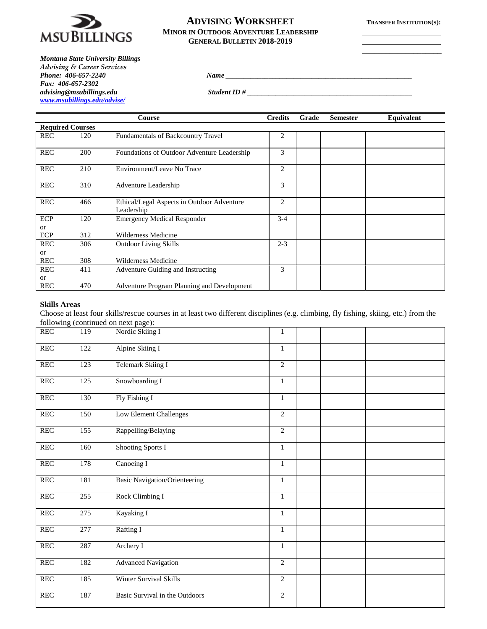

## **ADVISING WORKSHEET TRANSFER INSTITUTION(S): MINOR IN OUTDOOR ADVENTURE LEADERSHIP GENERAL BULLETIN 2018-2019**

*Phone: 406-657-2240 Name*  $\frac{1}{2}$  *Name*  $\frac{1}{2}$  *Name*  $\frac{1}{2}$  *Name*  $\frac{1}{2}$  *Name*  $\frac{1}{2}$  *Name*  $\frac{1}{2}$  *Name*  $\frac{1}{2}$  *Name*  $\frac{1}{2}$  *Name*  $\frac{1}{2}$  *Name*  $\frac{1}{2}$  *Name*  $\frac{1}{2}$  *Name*  $\frac{1}{$ 

**\_\_\_\_\_\_\_\_\_\_\_\_\_\_\_\_\_\_\_\_**

*Montana State University Billings Advising & Career Services Fax: 406-657-2302 [www.msubillings.edu/advise/](http://www.msubillings.edu/advise/)*

*advising@msubillings.edu Student ID # \_\_\_\_\_\_\_\_\_\_\_\_\_\_\_\_\_\_\_\_\_\_\_\_\_\_\_\_\_\_\_\_\_\_\_\_\_\_\_\_\_\_\_\_\_\_*

|                         |     | <b>Course</b>                                            | <b>Credits</b> | Grade | <b>Semester</b> | Equivalent |  |
|-------------------------|-----|----------------------------------------------------------|----------------|-------|-----------------|------------|--|
| <b>Required Courses</b> |     |                                                          |                |       |                 |            |  |
| <b>REC</b>              | 120 | <b>Fundamentals of Backcountry Travel</b>                | 2              |       |                 |            |  |
| <b>REC</b>              | 200 | Foundations of Outdoor Adventure Leadership              | 3              |       |                 |            |  |
| <b>REC</b>              | 210 | Environment/Leave No Trace                               | $\overline{2}$ |       |                 |            |  |
| <b>REC</b>              | 310 | Adventure Leadership                                     | 3              |       |                 |            |  |
| <b>REC</b>              | 466 | Ethical/Legal Aspects in Outdoor Adventure<br>Leadership | 2              |       |                 |            |  |
| ECP                     | 120 | <b>Emergency Medical Responder</b>                       | $3-4$          |       |                 |            |  |
| <b>or</b>               |     |                                                          |                |       |                 |            |  |
| ECP                     | 312 | Wilderness Medicine                                      |                |       |                 |            |  |
| <b>REC</b>              | 306 | <b>Outdoor Living Skills</b>                             | $2 - 3$        |       |                 |            |  |
| <b>or</b>               |     |                                                          |                |       |                 |            |  |
| <b>REC</b>              | 308 | Wilderness Medicine                                      |                |       |                 |            |  |
| <b>REC</b>              | 411 | Adventure Guiding and Instructing                        | 3              |       |                 |            |  |
| <b>or</b>               |     |                                                          |                |       |                 |            |  |
| <b>REC</b>              | 470 | Adventure Program Planning and Development               |                |       |                 |            |  |

## **Skills Areas**

Choose at least four skills/rescue courses in at least two different disciplines (e.g. climbing, fly fishing, skiing, etc.) from the following (continued on next page):

| <b>REC</b>           | 119              | Nordic Skiing I                | 1              |  |
|----------------------|------------------|--------------------------------|----------------|--|
| <b>REC</b>           | 122              | Alpine Skiing I                | $\mathbf{1}$   |  |
| <b>REC</b>           | $\overline{123}$ | Telemark Skiing I              | $\overline{2}$ |  |
| <b>REC</b>           | 125              | Snowboarding I                 | $\mathbf{1}$   |  |
| <b>REC</b>           | 130              | Fly Fishing I                  | $\mathbf{1}$   |  |
| $\operatorname{REC}$ | 150              | Low Element Challenges         | $\overline{2}$ |  |
| $\mbox{REC}$         | 155              | Rappelling/Belaying            | $\overline{2}$ |  |
| <b>REC</b>           | 160              | Shooting Sports I              | $\mathbf{1}$   |  |
| <b>REC</b>           | 178              | Canoeing I                     | $\mathbf{1}$   |  |
| REC                  | 181              | Basic Navigation/Orienteering  | $\mathbf{1}$   |  |
| $\mbox{REC}$         | 255              | Rock Climbing I                | $\mathbf{1}$   |  |
| $\operatorname{REC}$ | 275              | Kayaking I                     | $\mathbf{1}$   |  |
| <b>REC</b>           | 277              | Rafting I                      | $\mathbf{1}$   |  |
| <b>REC</b>           | 287              | Archery I                      | $\mathbf{1}$   |  |
| REC                  | 182              | <b>Advanced Navigation</b>     | $\overline{2}$ |  |
| <b>REC</b>           | 185              | Winter Survival Skills         | $\overline{2}$ |  |
| <b>REC</b>           | 187              | Basic Survival in the Outdoors | $\overline{c}$ |  |